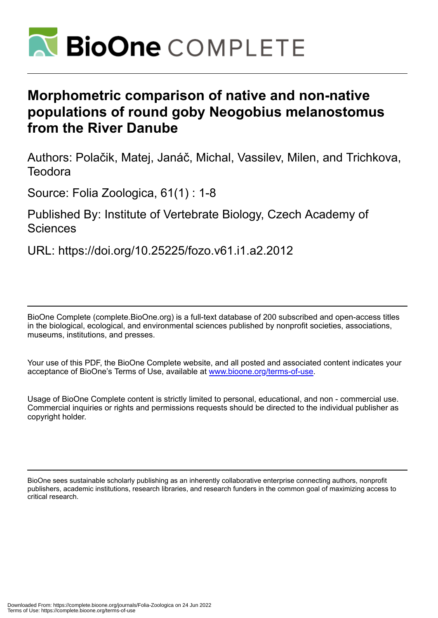

# **Morphometric comparison of native and non-native populations of round goby Neogobius melanostomus from the River Danube**

Authors: Polačik, Matej, Janáč, Michal, Vassilev, Milen, and Trichkova, **Teodora** 

Source: Folia Zoologica, 61(1) : 1-8

# Published By: Institute of Vertebrate Biology, Czech Academy of **Sciences**

URL: https://doi.org/10.25225/fozo.v61.i1.a2.2012

BioOne Complete (complete.BioOne.org) is a full-text database of 200 subscribed and open-access titles in the biological, ecological, and environmental sciences published by nonprofit societies, associations, museums, institutions, and presses.

Your use of this PDF, the BioOne Complete website, and all posted and associated content indicates your acceptance of BioOne's Terms of Use, available at www.bioone.org/terms-of-use.

Usage of BioOne Complete content is strictly limited to personal, educational, and non - commercial use. Commercial inquiries or rights and permissions requests should be directed to the individual publisher as copyright holder.

BioOne sees sustainable scholarly publishing as an inherently collaborative enterprise connecting authors, nonprofit publishers, academic institutions, research libraries, and research funders in the common goal of maximizing access to critical research.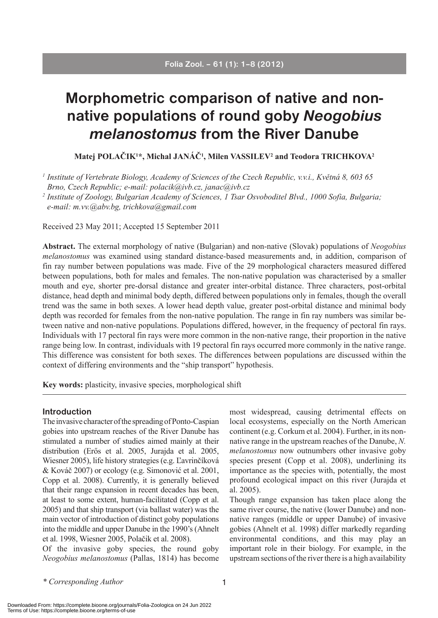# **Morphometric comparison of native and nonnative populations of round goby** *Neogobius melanostomus* **from the River Danube**

**Matej POLAČIK1 \*, Michal JANÁČ1 , Milen VASSILEV2 and Teodora TRICHKOVA2**

*1 Institute of Vertebrate Biology, Academy of Sciences of the Czech Republic, v.v.i., Květná 8, 603 65 Brno, Czech Republic; e-mail: polacik@ivb.cz, janac@ivb.cz*

*2 Institute of Zoology, Bulgarian Academy of Sciences, 1 Tsar Osvoboditel Blvd., 1000 Sofia, Bulgaria; e-mail: m.vv.@abv.bg, trichkova@gmail.com*

Received 23 May 2011; Accepted 15 September 2011

**Abstract.** The external morphology of native (Bulgarian) and non-native (Slovak) populations of *Neogobius melanostomus* was examined using standard distance-based measurements and, in addition, comparison of fin ray number between populations was made. Five of the 29 morphological characters measured differed between populations, both for males and females. The non-native population was characterised by a smaller mouth and eye, shorter pre-dorsal distance and greater inter-orbital distance. Three characters, post-orbital distance, head depth and minimal body depth, differed between populations only in females, though the overall trend was the same in both sexes. A lower head depth value, greater post-orbital distance and minimal body depth was recorded for females from the non-native population. The range in fin ray numbers was similar between native and non-native populations. Populations differed, however, in the frequency of pectoral fin rays. Individuals with 17 pectoral fin rays were more common in the non-native range, their proportion in the native range being low. In contrast, individuals with 19 pectoral fin rays occurred more commonly in the native range. This difference was consistent for both sexes. The differences between populations are discussed within the context of differing environments and the "ship transport" hypothesis.

**Key words:** plasticity, invasive species, morphological shift

#### **Introduction**

The invasive character of the spreading of Ponto-Caspian gobies into upstream reaches of the River Danube has stimulated a number of studies aimed mainly at their distribution (Erős et al. 2005, Jurajda et al. 2005, Wiesner 2005), life history strategies (e.g. Ľavrinčíková & Kováč 2007) or ecology (e.g. Simonović et al. 2001, Copp et al. 2008). Currently, it is generally believed that their range expansion in recent decades has been, at least to some extent, human-facilitated (Copp et al. 2005) and that ship transport (via ballast water) was the main vector of introduction of distinct goby populations into the middle and upper Danube in the 1990's (Ahnelt et al. 1998, Wiesner 2005, Polačik et al. 2008).

Of the invasive goby species, the round goby *Neogobius melanostomus* (Pallas, 1814) has become most widespread, causing detrimental effects on local ecosystems, especially on the North American continent (e.g. Corkum et al. 2004). Further, in its nonnative range in the upstream reaches of the Danube, *N. melanostomus* now outnumbers other invasive goby species present (Copp et al. 2008), underlining its importance as the species with, potentially, the most profound ecological impact on this river (Jurajda et al. 2005).

Though range expansion has taken place along the same river course, the native (lower Danube) and nonnative ranges (middle or upper Danube) of invasive gobies (Ahnelt et al. 1998) differ markedly regarding environmental conditions, and this may play an important role in their biology. For example, in the upstream sections of the river there is a high availability

*\* Corresponding Author*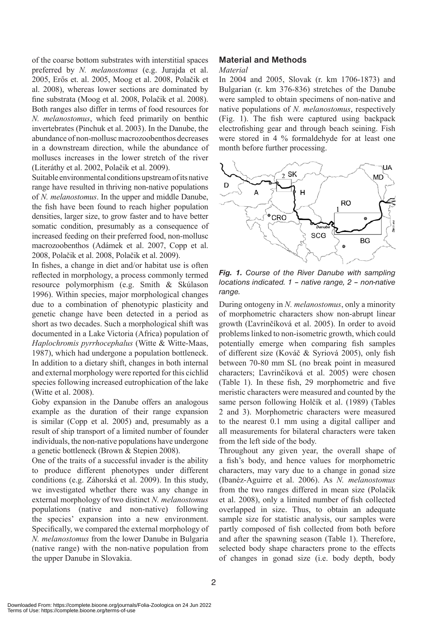of the coarse bottom substrates with interstitial spaces preferred by *N. melanostomus* (e.g. Jurajda et al. 2005, Erős et. al. 2005, Moog et al. 2008, Polačik et al. 2008), whereas lower sections are dominated by fine substrata (Moog et al. 2008, Polačik et al. 2008). Both ranges also differ in terms of food resources for *N. melanostomus*, which feed primarily on benthic invertebrates (Pinchuk et al. 2003). In the Danube, the abundance of non-mollusc macrozoobenthos decreases in a downstream direction, while the abundance of molluscs increases in the lower stretch of the river (Literáthy et al. 2002, Polačik et al. 2009).

Suitable environmental conditions upstream of its native range have resulted in thriving non-native populations of *N. melanostomus*. In the upper and middle Danube, the fish have been found to reach higher population densities, larger size, to grow faster and to have better somatic condition, presumably as a consequence of increased feeding on their preferred food, non-mollusc macrozoobenthos (Adámek et al. 2007, Copp et al. 2008, Polačik et al. 2008, Polačik et al. 2009).

In fishes, a change in diet and/or habitat use is often reflected in morphology, a process commonly termed resource polymorphism (e.g. Smith & Skúlason 1996). Within species, major morphological changes due to a combination of phenotypic plasticity and genetic change have been detected in a period as short as two decades. Such a morphological shift was documented in a Lake Victoria (Africa) population of *Haplochromis pyrrhocephalus* (Witte & Witte-Maas, 1987), which had undergone a population bottleneck. In addition to a dietary shift, changes in both internal and external morphology were reported for this cichlid species following increased eutrophication of the lake (Witte et al. 2008).

Goby expansion in the Danube offers an analogous example as the duration of their range expansion is similar (Copp et al. 2005) and, presumably as a result of ship transport of a limited number of founder individuals, the non-native populations have undergone a genetic bottleneck (Brown & Stepien 2008).

One of the traits of a successful invader is the ability to produce different phenotypes under different conditions (e.g. Záhorská et al. 2009). In this study, we investigated whether there was any change in external morphology of two distinct *N. melanostomus* populations (native and non-native) following the species' expansion into a new environment. Specifically, we compared the external morphology of *N. melanostomus* from the lower Danube in Bulgaria (native range) with the non-native population from the upper Danube in Slovakia.

## **Material and Methods**

#### *Material*

In 2004 and 2005, Slovak (r. km 1706-1873) and Bulgarian (r. km 376-836) stretches of the Danube were sampled to obtain specimens of non-native and native populations of *N. melanostomus*, respectively (Fig. 1). The fish were captured using backpack electrofishing gear and through beach seining. Fish were stored in 4 % formaldehyde for at least one month before further processing.



*Fig. 1. Course of the River Danube with sampling locations indicated. 1 – native range, 2 – non-native range.*

During ontogeny in *N. melanostomus*, only a minority of morphometric characters show non-abrupt linear growth (Ľavrinčíková et al. 2005). In order to avoid problems linked to non-isometric growth, which could potentially emerge when comparing fish samples of different size (Kováč & Syriová 2005), only fish between 70-80 mm SL (no break point in measured characters; Ľavrinčíková et al. 2005) were chosen (Table 1). In these fish, 29 morphometric and five meristic characters were measured and counted by the same person following Holčík et al. (1989) (Tables 2 and 3). Morphometric characters were measured to the nearest 0.1 mm using a digital calliper and all measurements for bilateral characters were taken from the left side of the body.

Throughout any given year, the overall shape of a fish's body, and hence values for morphometric characters, may vary due to a change in gonad size (Ibanéz-Aguirre et al. 2006). As *N. melanostomus*  from the two ranges differed in mean size (Polačik et al. 2008), only a limited number of fish collected overlapped in size. Thus, to obtain an adequate sample size for statistic analysis, our samples were partly composed of fish collected from both before and after the spawning season (Table 1). Therefore, selected body shape characters prone to the effects of changes in gonad size (i.e. body depth, body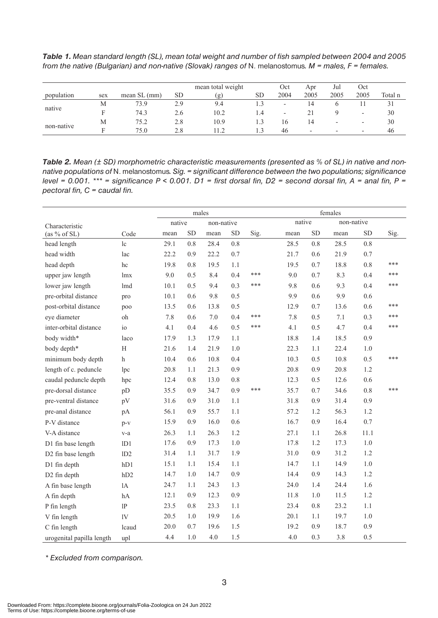*Table 1. Mean standard length (SL), mean total weight and number of fish sampled between 2004 and 2005 from the native (Bulgarian) and non-native (Slovak) ranges of* N. melanostomus*. M = males, F = females.*

|            |     |               |     | mean total weight | Oct       | Apr                      | Jul                      | Oct                      |                          |         |
|------------|-----|---------------|-----|-------------------|-----------|--------------------------|--------------------------|--------------------------|--------------------------|---------|
| population | sex | mean $SL(mm)$ | SD. | (g)               | <b>SD</b> | 2004                     | 2005                     | 2005                     | 2005                     | Total n |
|            | М   | 73.9          | 2.9 | 9.4               |           | $\overline{\phantom{a}}$ | 14                       |                          |                          |         |
| native     |     | 74.3          | 2.6 | 10.2              | 1.4       | $\overline{\phantom{0}}$ |                          |                          |                          | 30      |
|            | M   | 75.2          | 2.8 | 10.9              |           | 16                       | 14                       | $\overline{\phantom{0}}$ | $\overline{\phantom{a}}$ | 30      |
| non-native |     | 75.0          | 2.8 |                   | 1.3       | 46                       | $\overline{\phantom{0}}$ | $\overline{\phantom{0}}$ | $\overline{\phantom{0}}$ | 46      |

*Table 2. Mean (± SD) morphometric characteristic measurements (presented as % of SL) in native and nonnative populations of* N. melanostomus*. Sig. = significant difference between the two populations; significance level = 0.001. \*\*\* = significance P < 0.001. D1 = first dorsal fin, D2 = second dorsal fin, A = anal fin, P = pectoral fin, C = caudal fin.* 

|                           |                |      | males     |            |           |      | females |            |      |            |      |  |
|---------------------------|----------------|------|-----------|------------|-----------|------|---------|------------|------|------------|------|--|
| Characteristic            | native         |      |           | non-native |           |      | native  | non-native |      |            |      |  |
| (as % of SL)              | Code           | mean | <b>SD</b> | mean       | <b>SD</b> | Sig. | mean    | <b>SD</b>  | mean | ${\rm SD}$ | Sig. |  |
| head length               | 1c             | 29.1 | 0.8       | 28.4       | 0.8       |      | 28.5    | 0.8        | 28.5 | 0.8        |      |  |
| head width                | lac            | 22.2 | 0.9       | 22.2       | 0.7       |      | 21.7    | 0.6        | 21.9 | 0.7        |      |  |
| head depth                | hc             | 19.8 | 0.8       | 19.5       | 1.1       |      | 19.5    | 0.7        | 18.8 | 0.8        | ***  |  |
| upper jaw length          | lmx            | 9.0  | 0.5       | 8.4        | 0.4       | ***  | 9.0     | 0.7        | 8.3  | 0.4        | ***  |  |
| lower jaw length          | lmd            | 10.1 | 0.5       | 9.4        | 0.3       | ***  | 9.8     | 0.6        | 9.3  | 0.4        | ***  |  |
| pre-orbital distance      | pro            | 10.1 | 0.6       | 9.8        | 0.5       |      | 9.9     | 0.6        | 9.9  | 0.6        |      |  |
| post-orbital distance     | poo            | 13.5 | 0.6       | 13.8       | 0.5       |      | 12.9    | 0.7        | 13.6 | 0.6        | ***  |  |
| eye diameter              | oh             | 7.8  | 0.6       | $7.0\,$    | 0.4       | ***  | 7.8     | 0.5        | 7.1  | 0.3        | ***  |  |
| inter-orbital distance    | i <sub>0</sub> | 4.1  | 0.4       | 4.6        | 0.5       | ***  | 4.1     | 0.5        | 4.7  | 0.4        | ***  |  |
| body width*               | laco           | 17.9 | 1.3       | 17.9       | 1.1       |      | 18.8    | 1.4        | 18.5 | 0.9        |      |  |
| body depth*               | $\rm H$        | 21.6 | 1.4       | 21.9       | 1.0       |      | 22.3    | 1.1        | 22.4 | $1.0\,$    |      |  |
| minimum body depth        | $\mathbf h$    | 10.4 | 0.6       | 10.8       | 0.4       |      | 10.3    | 0.5        | 10.8 | 0.5        | ***  |  |
| length of c. peduncle     | lpc            | 20.8 | 1.1       | 21.3       | 0.9       |      | 20.8    | 0.9        | 20.8 | 1.2        |      |  |
| caudal peduncle depth     | hpc            | 12.4 | 0.8       | 13.0       | 0.8       |      | 12.3    | 0.5        | 12.6 | 0.6        |      |  |
| pre-dorsal distance       | pD             | 35.5 | 0.9       | 34.7       | 0.9       | ***  | 35.7    | 0.7        | 34.6 | 0.8        | ***  |  |
| pre-ventral distance      | pV             | 31.6 | 0.9       | 31.0       | 1.1       |      | 31.8    | 0.9        | 31.4 | 0.9        |      |  |
| pre-anal distance         | pA             | 56.1 | 0.9       | 55.7       | 1.1       |      | 57.2    | 1.2        | 56.3 | 1.2        |      |  |
| P-V distance              | $p-v$          | 15.9 | 0.9       | 16.0       | 0.6       |      | 16.7    | 0.9        | 16.4 | 0.7        |      |  |
| V-A distance              | v-a            | 26.3 | 1.1       | 26.3       | 1.2       |      | 27.1    | 1.1        | 26.8 | 11.1       |      |  |
| D1 fin base length        | 1D1            | 17.6 | 0.9       | 17.3       | 1.0       |      | 17.8    | 1.2        | 17.3 | $1.0\,$    |      |  |
| D2 fin base length        | 1D2            | 31.4 | 1.1       | 31.7       | 1.9       |      | 31.0    | 0.9        | 31.2 | 1.2        |      |  |
| D1 fin depth              | hD1            | 15.1 | 1.1       | 15.4       | 1.1       |      | 14.7    | 1.1        | 14.9 | 1.0        |      |  |
| D2 fin depth              | hD2            | 14.7 | 1.0       | 14.7       | 0.9       |      | 14.4    | 0.9        | 14.3 | 1.2        |      |  |
| A fin base length         | 1A             | 24.7 | 1.1       | 24.3       | 1.3       |      | 24.0    | 1.4        | 24.4 | 1.6        |      |  |
| A fin depth               | hA             | 12.1 | 0.9       | 12.3       | 0.9       |      | 11.8    | 1.0        | 11.5 | 1.2        |      |  |
| P fin length              | 1P             | 23.5 | 0.8       | 23.3       | 1.1       |      | 23.4    | 0.8        | 23.2 | 1.1        |      |  |
| V fin length              | 1V             | 20.5 | 1.0       | 19.9       | 1.6       |      | 20.1    | 1.1        | 19.7 | $1.0\,$    |      |  |
| C fin length              | lcaud          | 20.0 | 0.7       | 19.6       | 1.5       |      | 19.2    | 0.9        | 18.7 | 0.9        |      |  |
| urogenital papilla length | upl            | 4.4  | 1.0       | 4.0        | 1.5       |      | 4.0     | 0.3        | 3.8  | 0.5        |      |  |

*\* Excluded from comparison.*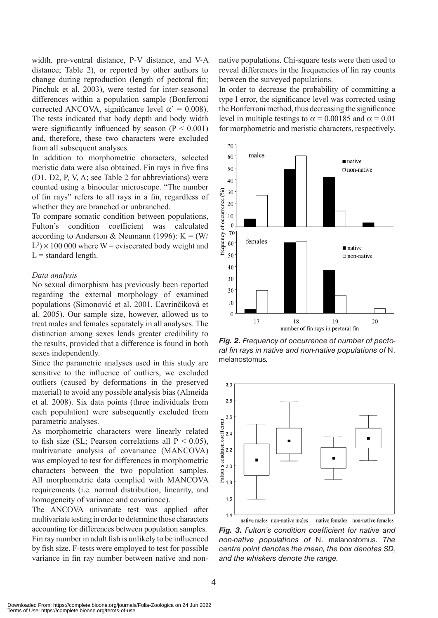width*,* pre-ventral distance, P-V distance, and V-A distance; Table 2), or reported by other authors to change during reproduction (length of pectoral fin; Pinchuk et al. 2003), were tested for inter-seasonal differences within a population sample (Bonferroni corrected ANCOVA, significance level  $\alpha$ <sup>'</sup> = 0.008). The tests indicated that body depth and body width were significantly influenced by season  $(P < 0.001)$ and, therefore, these two characters were excluded from all subsequent analyses.

In addition to morphometric characters, selected meristic data were also obtained. Fin rays in five fins (D1, D2, P, V, A; see Table 2 for abbreviations) were counted using a binocular microscope. "The number of fin rays" refers to all rays in a fin, regardless of whether they are branched or unbranched.

To compare somatic condition between populations, Fulton's condition coefficient was calculated according to Anderson & Neumann (1996):  $K = (W/$  $L^3$  × 100 000 where W = eviscerated body weight and  $L =$  standard length.

#### *Data analysis*

No sexual dimorphism has previously been reported regarding the external morphology of examined populations (Simonović et al. 2001, Ľavrinčíková et al. 2005). Our sample size, however, allowed us to treat males and females separately in all analyses. The distinction among sexes lends greater credibility to the results, provided that a difference is found in both sexes independently.

Since the parametric analyses used in this study are sensitive to the influence of outliers, we excluded outliers (caused by deformations in the preserved material) to avoid any possible analysis bias (Almeida et al. 2008). Six data points (three individuals from each population) were subsequently excluded from parametric analyses.

As morphometric characters were linearly related to fish size (SL; Pearson correlations all  $P < 0.05$ ), multivariate analysis of covariance (MANCOVA) was employed to test for differences in morphometric characters between the two population samples. All morphometric data complied with MANCOVA requirements (i.e. normal distribution, linearity, and homogeneity of variance and covariance).

The ANCOVA univariate test was applied after multivariate testing in order to determine those characters accounting for differences between population samples. Fin ray number in adult fish is unlikely to be influenced by fish size. F-tests were employed to test for possible variance in fin ray number between native and nonnative populations. Chi-square tests were then used to reveal differences in the frequencies of fin ray counts between the surveyed populations.

In order to decrease the probability of committing a type I error, the significance level was corrected using the Bonferroni method, thus decreasing the significance level in multiple testings to  $\alpha = 0.00185$  and  $\alpha = 0.01$ for morphometric and meristic characters, respectively.



*Fig. 2. Frequency of occurrence of number of pectoral fin rays in native and non-native populations of* N. melanostomus*.* 



native females non-native females native males non-native males *Fig. 3. Fulton's condition coefficient for native and non-native populations of* N. melanostomus*. The centre point denotes the mean, the box denotes SD, and the whiskers denote the range.*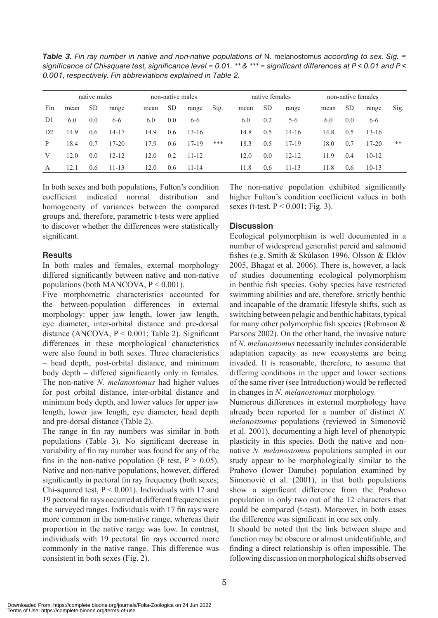*Table 3. Fin ray number in native and non-native populations of* N. melanostomus *according to sex. Sig. = significance of Chi-square test, significance level = 0.01. \*\* & \*\*\* = significant differences at P < 0.01 and P < 0.001, respectively. Fin abbreviations explained in Table 2.*

|                | native males |           |           | non-native males |           |           |      |      | native females |           |      | non-native females |           |      |
|----------------|--------------|-----------|-----------|------------------|-----------|-----------|------|------|----------------|-----------|------|--------------------|-----------|------|
| Fin            | mean         | <b>SD</b> | range     | mean             | <b>SD</b> | range     | Sig. | mean | <b>SD</b>      | range     | mean | <sub>SD</sub>      | range     | Sig. |
| D1             | 6.0          | 0.0       | $6 - 6$   | 6.0              | 0.0       | $6 - 6$   |      | 6.0  | 0.2            | $5-6$     | 6.0  | 0.0                | $6 - 6$   |      |
| D <sub>2</sub> | 14.9         | 0.6       | $14 - 17$ | 14.9             | 0.6       | $13 - 16$ |      | 14.8 | 0.5            | $14 - 16$ | 14.8 | 0.5                | $13 - 16$ |      |
| P              | 18.4         | 0.7       | $17 - 20$ | 17.9             | 0.6       | $17 - 19$ | ***  | 18.3 | 0.5            | $17 - 19$ | 18.0 | 0.7                | $17 - 20$ | **   |
| V              | 12.0         | 0.0       | $12 - 12$ | 12.0             | 0.2       | $11 - 12$ |      | 12.0 | 0.0            | $12 - 12$ | 11.9 | 0.4                | $10 - 12$ |      |
| A              | 12.1         | 0.6       | $11 - 13$ | 12.0             | 0.6       | $11 - 14$ |      | 11.8 | 0.6            | $11 - 13$ | 11.8 | 0.6                | $10-13$   |      |

In both sexes and both populations, Fulton's condition coefficient indicated normal distribution and homogeneity of variances between the compared groups and, therefore, parametric t-tests were applied to discover whether the differences were statistically significant.

### **Results**

In both males and females, external morphology differed significantly between native and non-native populations (both MANCOVA,  $P < 0.001$ ).

Five morphometric characteristics accounted for the between-population differences in external morphology: upper jaw length, lower jaw length, eye diameter, inter-orbital distance and pre-dorsal distance (ANCOVA,  $P < 0.001$ ; Table 2). Significant differences in these morphological characteristics were also found in both sexes. Three characteristics – head depth, post-orbital distance, and minimum body depth *–* differed significantly only in females*.* The non-native *N. melanostomus* had higher values for post orbital distance, inter-orbital distance and minimum body depth, and lower values for upper jaw length, lower jaw length, eye diameter, head depth and pre-dorsal distance (Table 2).

The range in fin ray numbers was similar in both populations (Table 3). No significant decrease in variability of fin ray number was found for any of the fins in the non-native population (F test,  $P > 0.05$ ). Native and non-native populations, however, differed significantly in pectoral fin ray frequency (both sexes; Chi-squared test,  $P \le 0.001$ ). Individuals with 17 and 19 pectoral fin rays occurred at different frequencies in the surveyed ranges. Individuals with 17 fin rays were more common in the non-native range, whereas their proportion in the native range was low. In contrast, individuals with 19 pectoral fin rays occurred more commonly in the native range. This difference was consistent in both sexes (Fig. 2).

The non-native population exhibited significantly higher Fulton's condition coefficient values in both sexes (t-test,  $P < 0.001$ ; Fig. 3).

# **Discussion**

Ecological polymorphism is well documented in a number of widespread generalist percid and salmonid fishes (e.g. Smith & Skúlason 1996, Olsson & Eklöv 2005, Bhagat et al. 2006). There is, however, a lack of studies documenting ecological polymorphism in benthic fish species. Goby species have restricted swimming abilities and are, therefore, strictly benthic and incapable of the dramatic lifestyle shifts, such as switching between pelagic and benthic habitats, typical for many other polymorphic fish species (Robinson & Parsons 2002). On the other hand, the invasive nature of *N. melanostomus* necessarily includes considerable adaptation capacity as new ecosystems are being invaded. It is reasonable, therefore, to assume that differing conditions in the upper and lower sections of the same river (see Introduction) would be reflected in changes in *N. melanostomus* morphology.

Numerous differences in external morphology have already been reported for a number of distinct *N. melanostomus* populations (reviewed in Simonović et al. 2001), documenting a high level of phenotypic plasticity in this species. Both the native and nonnative *N. melanostomus* populations sampled in our study appear to be morphologically similar to the Prahovo (lower Danube) population examined by Simonović et al. (2001), in that both populations show a significant difference from the Prahovo population in only two out of the 12 characters that could be compared (t-test). Moreover, in both cases the difference was significant in one sex only.

It should be noted that the link between shape and function may be obscure or almost unidentifiable, and finding a direct relationship is often impossible. The following discussion on morphological shifts observed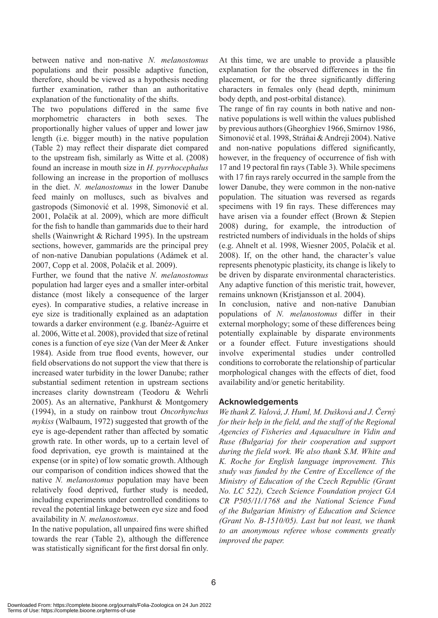between native and non-native *N. melanostomus*  populations and their possible adaptive function, therefore, should be viewed as a hypothesis needing further examination, rather than an authoritative explanation of the functionality of the shifts.

The two populations differed in the same five morphometric characters in both sexes. The proportionally higher values of upper and lower jaw length (i.e. bigger mouth) in the native population (Table 2) may reflect their disparate diet compared to the upstream fish, similarly as Witte et al. (2008) found an increase in mouth size in *H. pyrrhocephalus* following an increase in the proportion of molluscs in the diet. *N. melanostomus* in the lower Danube feed mainly on molluscs, such as bivalves and gastropods (Simonović et al. 1998, Simonović et al. 2001, Polačik at al. 2009), which are more difficult for the fish to handle than gammarids due to their hard shells (Wainwright & Richard 1995). In the upstream sections, however, gammarids are the principal prey of non-native Danubian populations (Adámek et al. 2007, Copp et al. 2008, Polačik et al. 2009).

Further, we found that the native *N. melanostomus*  population had larger eyes and a smaller inter-orbital distance (most likely a consequence of the larger eyes). In comparative studies, a relative increase in eye size is traditionally explained as an adaptation towards a darker environment (e.g. Ibanéz-Aguirre et al. 2006, Witte et al. 2008), provided that size of retinal cones is a function of eye size (Van der Meer & Anker 1984). Aside from true flood events, however, our field observations do not support the view that there is increased water turbidity in the lower Danube; rather substantial sediment retention in upstream sections increases clarity downstream (Teodoru & Wehrli 2005). As an alternative, Pankhurst & Montgomery (1994), in a study on rainbow trout *Oncorhynchus mykiss* (Walbaum, 1972) suggested that growth of the eye is age-dependent rather than affected by somatic growth rate. In other words, up to a certain level of food deprivation, eye growth is maintained at the expense (or in spite) of low somatic growth. Although our comparison of condition indices showed that the native *N. melanostomus* population may have been relatively food deprived, further study is needed, including experiments under controlled conditions to reveal the potential linkage between eye size and food availability in *N. melanostomus*.

In the native population, all unpaired fins were shifted towards the rear (Table 2), although the difference was statistically significant for the first dorsal fin only.

At this time, we are unable to provide a plausible explanation for the observed differences in the fin placement, or for the three significantly differing characters in females only (head depth, minimum body depth, and post-orbital distance).

The range of fin ray counts in both native and nonnative populations is well within the values published by previous authors (Gheorghiev 1966, Smirnov 1986, Simonović et al. 1998, Stráňai & Andreji 2004). Native and non-native populations differed significantly, however, in the frequency of occurrence of fish with 17 and 19 pectoral fin rays (Table 3). While specimens with 17 fin rays rarely occurred in the sample from the lower Danube, they were common in the non-native population. The situation was reversed as regards specimens with 19 fin rays. These differences may have arisen via a founder effect (Brown & Stepien 2008) during, for example, the introduction of restricted numbers of individuals in the holds of ships (e.g. Ahnelt et al. 1998, Wiesner 2005, Polačik et al. 2008). If, on the other hand, the character's value represents phenotypic plasticity, its change is likely to be driven by disparate environmental characteristics. Any adaptive function of this meristic trait, however, remains unknown (Kristjansson et al. 2004).

In conclusion, native and non-native Danubian populations of *N. melanostomus* differ in their external morphology; some of these differences being potentially explainable by disparate environments or a founder effect. Future investigations should involve experimental studies under controlled conditions to corroborate the relationship of particular morphological changes with the effects of diet, food availability and/or genetic heritability.

## **Acknowledgements**

*We thank Z. Valová, J. Huml, M. Dušková and J. Černý for their help in the field, and the staff of the Regional Agencies of Fisheries and Aquaculture in Vidin and Ruse (Bulgaria) for their cooperation and support during the field work. We also thank S.M. White and K. Roche for English language improvement. This study was funded by the Centre of Excellence of the Ministry of Education of the Czech Republic (Grant No. LC 522), Czech Science Foundation project GA CR P505/11/1768 and the National Science Fund of the Bulgarian Ministry of Education and Science (Grant No. B-1510/05). Last but not least, we thank to an anonymous referee whose comments greatly improved the paper.*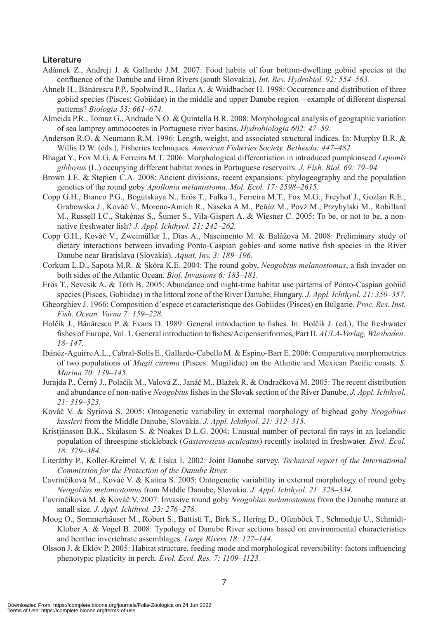#### **Literature**

- Adámek Z., Andreji J. & Gallardo J.M. 2007: Food habits of four bottom-dwelling gobiid species at the confluence of the Danube and Hron Rivers (south Slovakia). *Int. Rev. Hydrobiol. 92: 554–563.*
- Ahnelt H., Bănărescu P.P., Spolwind R., Harka A. & Waidbacher H. 1998: Occurrence and distribution of three gobiid species (Pisces: Gobiidae) in the middle and upper Danube region – example of different dispersal patterns? *Biologia 53: 661–674.*
- Almeida P.R., Tomaz G., Andrade N.O. & Quintella B.R. 2008: Morphological analysis of geographic variation of sea lamprey ammocoetes in Portuguese river basins. *Hydrobiologia 602: 47–59.*
- Anderson R.O. & Neumann R.M. 1996: Length, weight, and associated structural indices. In: Murphy B.R. & Willis D.W. (eds.), Fisheries techniques. *American Fisheries Society, Bethesda: 447–482.*
- Bhagat Y., Fox M.G. & Ferreira M.T. 2006: Morphological differentiation in introduced pumpkinseed *Lepomis gibbosus* (L.) occupying different habitat zones in Portuguese reservoirs. *J. Fish. Biol. 69: 79–94.*
- Brown J.E. & Stepien C.A. 2008: Ancient divisions, recent expansions: phylogeography and the population genetics of the round goby *Apollonia melanostoma*. *Mol. Ecol. 17: 2598–2615.*
- Copp G.H., Bianco P.G., Bogutskaya N., Erős T., Falka I., Ferreira M.T., Fox M.G., Freyhof J., Gozlan R.E., Grabowska J., Kováč V., Moreno-Amich R., Naseka A.M., Peňáz M., Povž M., Przybylski M., Robillard M., Russell I.C., Stakėnas S., Šumer S., Vila-Gispert A. & Wiesner C. 2005: To be, or not to be, a nonnative freshwater fish? *J. Appl. Ichthyol. 21: 242–262.*
- Copp G.H., Kováč V., Zweimüller I., Dias A., Nascimento M. & Balážová M. 2008: Preliminary study of dietary interactions between invading Ponto-Caspian gobies and some native fish species in the River Danube near Bratislava (Slovakia). *Aquat. Inv. 3: 189–196.*
- Corkum L.D., Sapota M.R. & Skóra K.E. 2004: The round goby, *Neogobius melanostomus*, a fish invader on both sides of the Atlantic Ocean. *Biol. Invasions 6: 183–181.*
- Erős T., Sevcsik A. & Tóth B. 2005: Abundance and night-time habitat use patterns of Ponto-Caspian gobiid species (Pisces, Gobiidae) in the littoral zone of the River Danube, Hungary. *J. Appl. Ichthyol. 21: 350–357.*
- Gheorghiev J. 1966: Composition d'espece et caracteristique des Gobiides (Pisces) en Bulgarie. *Proc. Res. Inst. Fish. Ocean. Varna 7: 159–228.*
- Holčík J., Bǎnǎrescu P. & Evans D. 1989: General introduction to fishes. In: Holčík J. (ed.), The freshwater fishes of Europe, Vol. 1, General introduction to fishes/Acipenseriformes, Part II. *AULA-Verlag, Wiesbaden: 18–147.*
- Ibánéz-Aguirre A.L., Cabral-Solís E., Gallardo-Cabello M. & Espino-Barr E. 2006: Comparative morphometrics of two populations of *Mugil curema* (Pisces: Mugilidae) on the Atlantic and Mexican Pacific coasts. *S. Marina 70: 139–145.*
- Jurajda P., Černý J., Polačik M., Valová Z., Janáč M., Blažek R. & Ondračková M. 2005: The recent distribution and abundance of non-native *Neogobius* fishes in the Slovak section of the River Danube. *J. Appl. Ichthyol. 21: 319–323.*
- Kováč V. & Syriová S. 2005: Ontogenetic variability in external morphology of bighead goby *Neogobius kessleri* from the Middle Danube, Slovakia. *J. Appl. Ichthyol. 21: 312–315.*
- Kristjánsson B.K., Skúlason S. & Noakes D.L.G. 2004: Unusual number of pectoral fin rays in an Icelandic population of threespine stickleback (*Gasterosteus aculeatus*) recently isolated in freshwater. *Evol. Ecol. 18: 379–384.*
- Literáthy P., Koller-Kreimel V. & Liska I. 2002: Joint Danube survey. *Technical report of the International Commission for the Protection of the Danube River.*
- Ľavrinčíková M., Kováč V. & Katina S. 2005: Ontogenetic variability in external morphology of round goby *Neogobius melanostomus* from Middle Danube, Slovakia. *J. Appl. Ichthyol. 21: 328–334.*
- Ľavrinčíková M. & Kováč V. 2007: Invasive round goby *Neogobius melanostomus* from the Danube mature at small size. *J. Appl. Ichthyol. 23: 276–278.*
- Moog O., Sommerhäuser M., Robert S., Battisti T., Birk S., Hering D., Ofenböck T., Schmedtje U., Schmidt-Klober A. & Vogel B. 2008: Typology of Danube River sections based on environmental characteristics and benthic invertebrate assemblages. *Large Rivers 18: 127–144.*
- Olsson J. & Eklöv P. 2005: Habitat structure, feeding mode and morphological reversibility: factors influencing phenotypic plasticity in perch. *Evol. Ecol. Res. 7: 1109–1123.*